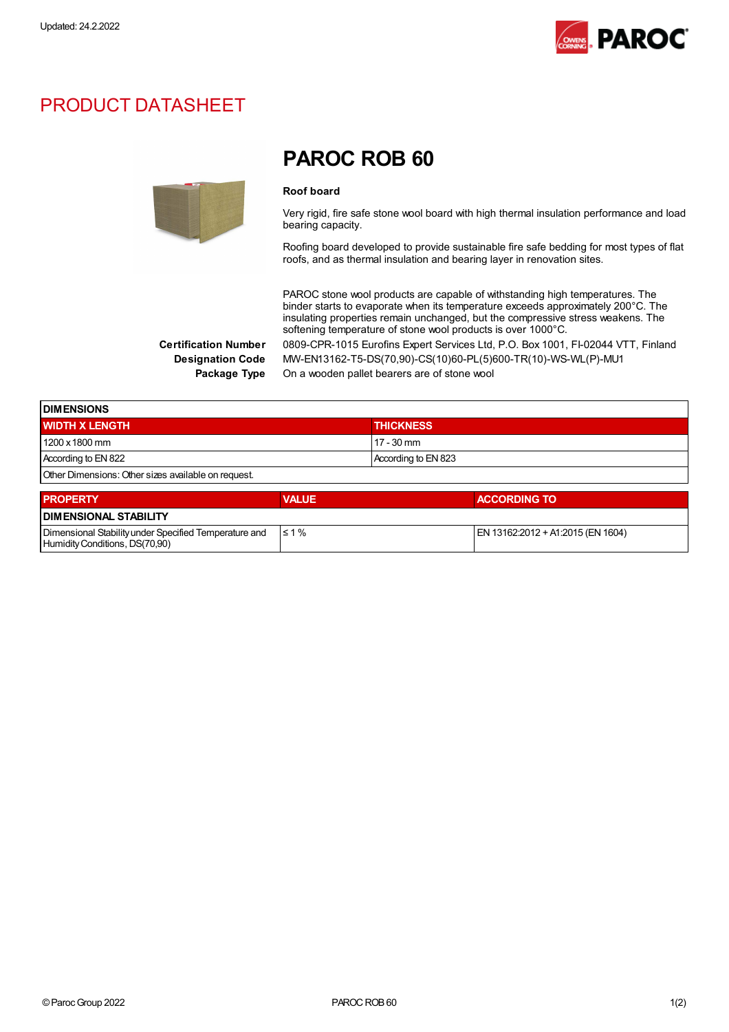

## PRODUCT DATASHEET



## PAROC ROB 60

#### Roof board

Very rigid, fire safe stone wool board with high thermal insulation performance and load bearing capacity.

Roofing board developed to provide sustainable fire safe bedding for most types of flat roofs, and as thermal insulation and bearing layer in renovation sites.

PAROC stone wool products are capable of withstanding high temperatures. The binder starts to evaporate when its temperature exceeds approximately 200°C. The insulating properties remain unchanged, but the compressive stress weakens. The softening temperature of stone wool products is over 1000°C. Certification Number 0809-CPR-1015 Eurofins Expert Services Ltd, P.O. Box 1001, FI-02044 VTT, Finland

Designation Code MW-EN13162-T5-DS(70,90)-CS(10)60-PL(5)600-TR(10)-WS-WL(P)-MU1 Package Type On a wooden pallet bearers are of stone wool

| <b>DIMENSIONS</b>                                   |                     |  |
|-----------------------------------------------------|---------------------|--|
| <b>WIDTH X LENGTH</b>                               | <b>THICKNESS</b>    |  |
| 1200 x 1800 mm                                      | $17 - 30$ mm        |  |
| According to EN 822                                 | According to EN 823 |  |
| Other Dimensions: Other sizes available on request. |                     |  |

| <b>PROPERTY</b>                                                                         | <b>VALUE</b> | <b>ACCORDING TO</b>               |  |  |
|-----------------------------------------------------------------------------------------|--------------|-----------------------------------|--|--|
| <b>DIMENSIONAL STABILITY</b>                                                            |              |                                   |  |  |
| Dimensional Stability under Specified Temperature and<br>Humidity Conditions, DS(70,90) | $\leq 1\%$   | EN 13162:2012 + A1:2015 (EN 1604) |  |  |